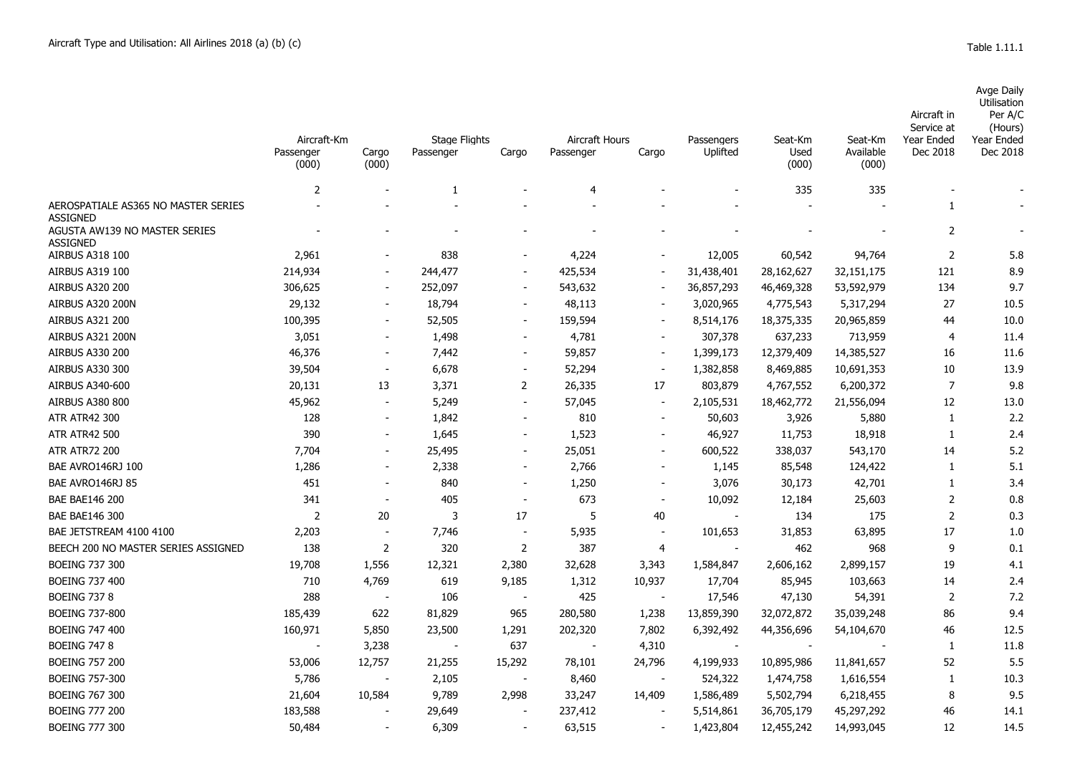Avge Daily

|                                                                     | Aircraft-Km<br>Passenger<br>(000) | Cargo<br>(000)           | <b>Stage Flights</b><br>Passenger | Cargo                    | Aircraft Hours<br>Passenger | Cargo                    | Passengers<br>Uplifted   | Seat-Km<br>Used<br>(000) | Seat-Km<br>Available<br>(000) | Aircraft in<br>Service at<br>Year Ended<br>Dec 2018 | Utilisation<br>Per A/C<br>(Hours)<br>Year Ended<br>Dec 2018 |
|---------------------------------------------------------------------|-----------------------------------|--------------------------|-----------------------------------|--------------------------|-----------------------------|--------------------------|--------------------------|--------------------------|-------------------------------|-----------------------------------------------------|-------------------------------------------------------------|
|                                                                     | $\overline{2}$                    |                          | 1                                 |                          | $\overline{4}$              |                          |                          | 335                      | 335                           |                                                     |                                                             |
| AEROSPATIALE AS365 NO MASTER SERIES                                 |                                   |                          |                                   |                          |                             |                          |                          |                          |                               | 1                                                   |                                                             |
| <b>ASSIGNED</b><br>AGUSTA AW139 NO MASTER SERIES<br><b>ASSIGNED</b> |                                   |                          |                                   |                          |                             |                          |                          |                          |                               | $\overline{2}$                                      |                                                             |
| AIRBUS A318 100                                                     | 2,961                             |                          | 838                               | $\overline{\phantom{a}}$ | 4,224                       |                          | 12,005                   | 60,542                   | 94,764                        | $\overline{2}$                                      | 5.8                                                         |
| AIRBUS A319 100                                                     | 214,934                           | $\overline{\phantom{a}}$ | 244,477                           |                          | 425,534                     |                          | 31,438,401               | 28,162,627               | 32,151,175                    | 121                                                 | 8.9                                                         |
| <b>AIRBUS A320 200</b>                                              | 306,625                           | $\blacksquare$           | 252,097                           | $\overline{\phantom{a}}$ | 543,632                     |                          | 36,857,293               | 46,469,328               | 53,592,979                    | 134                                                 | 9.7                                                         |
| AIRBUS A320 200N                                                    | 29,132                            |                          | 18,794                            | $\blacksquare$           | 48,113                      |                          | 3,020,965                | 4,775,543                | 5,317,294                     | 27                                                  | 10.5                                                        |
| <b>AIRBUS A321 200</b>                                              | 100,395                           | $\overline{\phantom{a}}$ | 52,505                            | $\overline{\phantom{a}}$ | 159,594                     |                          | 8,514,176                | 18,375,335               | 20,965,859                    | 44                                                  | 10.0                                                        |
| AIRBUS A321 200N                                                    | 3,051                             |                          | 1,498                             | $\overline{\phantom{a}}$ | 4,781                       |                          | 307,378                  | 637,233                  | 713,959                       | 4                                                   | 11.4                                                        |
| <b>AIRBUS A330 200</b>                                              | 46,376                            | $\blacksquare$           | 7,442                             | $\blacksquare$           | 59,857                      | $\sim$                   | 1,399,173                | 12,379,409               | 14,385,527                    | 16                                                  | 11.6                                                        |
| <b>AIRBUS A330 300</b>                                              | 39,504                            | $\overline{\phantom{a}}$ | 6,678                             | $\blacksquare$           | 52,294                      | $\blacksquare$           | 1,382,858                | 8,469,885                | 10,691,353                    | 10                                                  | 13.9                                                        |
| AIRBUS A340-600                                                     | 20,131                            | 13                       | 3,371                             | 2                        | 26,335                      | 17                       | 803,879                  | 4,767,552                | 6,200,372                     | $\overline{7}$                                      | 9.8                                                         |
| <b>AIRBUS A380 800</b>                                              | 45,962                            | $\overline{\phantom{a}}$ | 5,249                             | $\overline{\phantom{a}}$ | 57,045                      | $\overline{\phantom{a}}$ | 2,105,531                | 18,462,772               | 21,556,094                    | 12                                                  | 13.0                                                        |
| <b>ATR ATR42 300</b>                                                | 128                               | $\overline{\phantom{a}}$ | 1,842                             | $\sim$                   | 810                         |                          | 50,603                   | 3,926                    | 5,880                         | 1                                                   | 2.2                                                         |
| <b>ATR ATR42 500</b>                                                | 390                               | $\overline{\phantom{a}}$ | 1,645                             | $\sim$                   | 1,523                       |                          | 46,927                   | 11,753                   | 18,918                        | 1                                                   | 2.4                                                         |
| <b>ATR ATR72 200</b>                                                | 7,704                             | $\sim$                   | 25,495                            | $\sim$                   | 25,051                      |                          | 600,522                  | 338,037                  | 543,170                       | 14                                                  | 5.2                                                         |
| BAE AVRO146RJ 100                                                   | 1,286                             |                          | 2,338                             | $\blacksquare$           | 2,766                       |                          | 1,145                    | 85,548                   | 124,422                       | 1                                                   | 5.1                                                         |
| BAE AVRO146RJ 85                                                    | 451                               | $\overline{\phantom{a}}$ | 840                               | $\overline{\phantom{a}}$ | 1,250                       |                          | 3,076                    | 30,173                   | 42,701                        | $\mathbf{1}$                                        | 3.4                                                         |
| <b>BAE BAE146 200</b>                                               | 341                               | $\overline{\phantom{a}}$ | 405                               | $\overline{\phantom{a}}$ | 673                         |                          | 10,092                   | 12,184                   | 25,603                        | $\overline{2}$                                      | 0.8                                                         |
| BAE BAE146 300                                                      | $\overline{2}$                    | 20                       | 3                                 | 17                       | 5                           | 40                       |                          | 134                      | 175                           | $\overline{2}$                                      | 0.3                                                         |
| BAE JETSTREAM 4100 4100                                             | 2,203                             | $\overline{\phantom{a}}$ | 7,746                             | $\overline{\phantom{a}}$ | 5,935                       |                          | 101,653                  | 31,853                   | 63,895                        | 17                                                  | 1.0                                                         |
| BEECH 200 NO MASTER SERIES ASSIGNED                                 | 138                               | $\overline{2}$           | 320                               | $\overline{2}$           | 387                         | 4                        |                          | 462                      | 968                           | 9                                                   | 0.1                                                         |
| <b>BOEING 737 300</b>                                               | 19,708                            | 1,556                    | 12,321                            | 2,380                    | 32,628                      | 3,343                    | 1,584,847                | 2,606,162                | 2,899,157                     | 19                                                  | 4.1                                                         |
| <b>BOEING 737 400</b>                                               | 710                               | 4,769                    | 619                               | 9,185                    | 1,312                       | 10,937                   | 17,704                   | 85,945                   | 103,663                       | 14                                                  | 2.4                                                         |
| <b>BOEING 737 8</b>                                                 | 288                               | $\sim$                   | 106                               | $\overline{\phantom{a}}$ | 425                         | $\blacksquare$           | 17,546                   | 47,130                   | 54,391                        | 2                                                   | 7.2                                                         |
| <b>BOEING 737-800</b>                                               | 185,439                           | 622                      | 81,829                            | 965                      | 280,580                     | 1,238                    | 13,859,390               | 32,072,872               | 35,039,248                    | 86                                                  | 9.4                                                         |
| <b>BOEING 747 400</b>                                               | 160,971                           | 5,850                    | 23,500                            | 1,291                    | 202,320                     | 7,802                    | 6,392,492                | 44,356,696               | 54,104,670                    | 46                                                  | 12.5                                                        |
| <b>BOEING 747 8</b>                                                 |                                   | 3,238                    |                                   | 637                      |                             | 4,310                    | $\overline{\phantom{a}}$ | $\overline{\phantom{a}}$ |                               | 1                                                   | 11.8                                                        |
| <b>BOEING 757 200</b>                                               | 53,006                            | 12,757                   | 21,255                            | 15,292                   | 78,101                      | 24,796                   | 4,199,933                | 10,895,986               | 11,841,657                    | 52                                                  | 5.5                                                         |
| <b>BOEING 757-300</b>                                               | 5,786                             |                          | 2,105                             |                          | 8,460                       |                          | 524,322                  | 1,474,758                | 1,616,554                     | 1                                                   | 10.3                                                        |
| <b>BOEING 767 300</b>                                               | 21,604                            | 10,584                   | 9,789                             | 2,998                    | 33,247                      | 14,409                   | 1,586,489                | 5,502,794                | 6,218,455                     | 8                                                   | 9.5                                                         |
| <b>BOEING 777 200</b>                                               | 183,588                           |                          | 29,649                            |                          | 237,412                     |                          | 5,514,861                | 36,705,179               | 45,297,292                    | 46                                                  | 14.1                                                        |
| <b>BOEING 777 300</b>                                               | 50,484                            |                          | 6,309                             |                          | 63,515                      |                          | 1,423,804                | 12,455,242               | 14,993,045                    | 12                                                  | 14.5                                                        |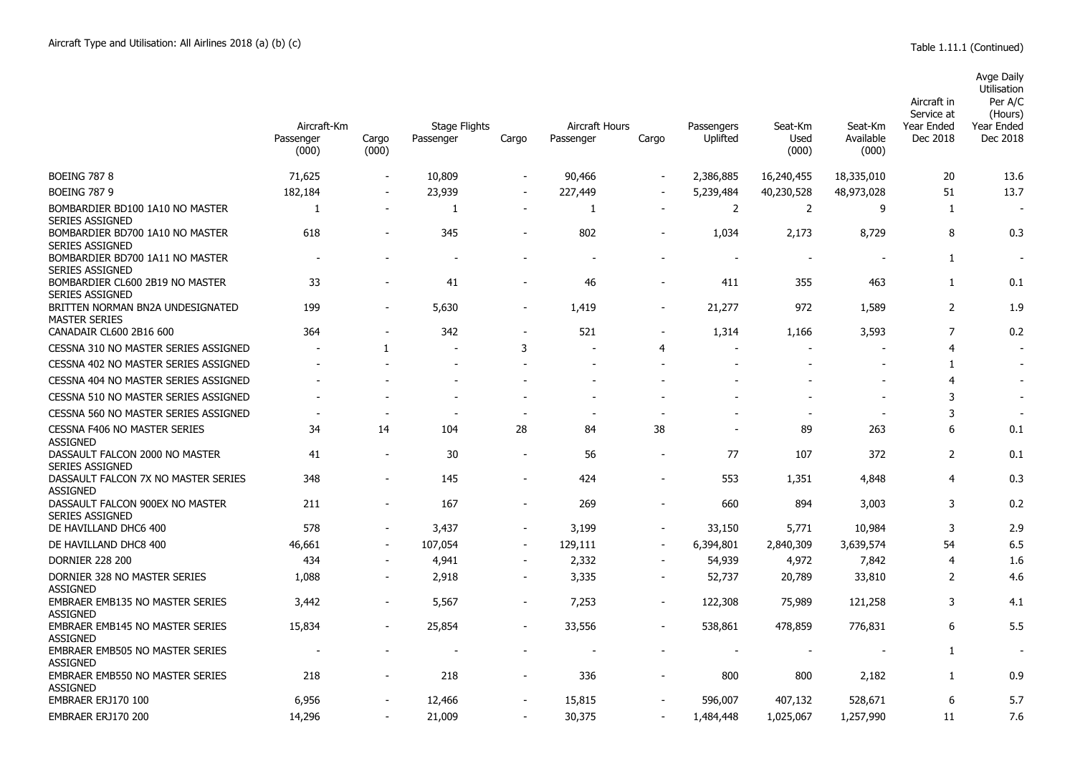|                                                           |                                   |                          |                                   |                          |                                    |        |                          |                          |                               | Aircraft in<br>Service at | Avge Daily<br>Utilisation<br>Per A/C<br>(Hours) |
|-----------------------------------------------------------|-----------------------------------|--------------------------|-----------------------------------|--------------------------|------------------------------------|--------|--------------------------|--------------------------|-------------------------------|---------------------------|-------------------------------------------------|
|                                                           | Aircraft-Km<br>Passenger<br>(000) | Cargo<br>(000)           | <b>Stage Flights</b><br>Passenger | Cargo                    | <b>Aircraft Hours</b><br>Passenger | Cargo  | Passengers<br>Uplifted   | Seat-Km<br>Used<br>(000) | Seat-Km<br>Available<br>(000) | Year Ended<br>Dec 2018    | Year Ended<br>Dec 2018                          |
| <b>BOEING 787 8</b>                                       | 71,625                            |                          | 10,809                            | $\overline{\phantom{a}}$ | 90,466                             |        | 2,386,885                | 16,240,455               | 18,335,010                    | 20                        | 13.6                                            |
| <b>BOEING 787 9</b>                                       | 182,184                           | $\blacksquare$           | 23,939                            | $\overline{\phantom{a}}$ | 227,449                            |        | 5,239,484                | 40,230,528               | 48,973,028                    | 51                        | 13.7                                            |
| BOMBARDIER BD100 1A10 NO MASTER<br><b>SERIES ASSIGNED</b> | $\mathbf{1}$                      |                          | 1                                 | $\overline{\phantom{a}}$ | -1                                 |        | $\overline{2}$           | $\overline{2}$           | 9                             | 1                         |                                                 |
| BOMBARDIER BD700 1A10 NO MASTER<br><b>SERIES ASSIGNED</b> | 618                               | $\overline{\phantom{a}}$ | 345                               | $\overline{\phantom{a}}$ | 802                                |        | 1,034                    | 2,173                    | 8,729                         | 8                         | 0.3                                             |
| BOMBARDIER BD700 1A11 NO MASTER<br><b>SERIES ASSIGNED</b> | $\overline{\phantom{0}}$          | $\blacksquare$           | $\overline{\phantom{a}}$          | $\overline{\phantom{a}}$ |                                    |        | $\overline{\phantom{a}}$ | $\overline{\phantom{a}}$ | $\overline{a}$                | 1                         | $\overline{\phantom{a}}$                        |
| BOMBARDIER CL600 2B19 NO MASTER<br><b>SERIES ASSIGNED</b> | 33                                |                          | 41                                | $\overline{a}$           | 46                                 |        | 411                      | 355                      | 463                           | $\mathbf{1}$              | 0.1                                             |
| BRITTEN NORMAN BN2A UNDESIGNATED<br><b>MASTER SERIES</b>  | 199                               | $\overline{\phantom{a}}$ | 5,630                             | $\overline{\phantom{a}}$ | 1,419                              | $\sim$ | 21,277                   | 972                      | 1,589                         | $\overline{2}$            | 1.9                                             |
| CANADAIR CL600 2B16 600                                   | 364                               | $\overline{\phantom{a}}$ | 342                               | $\overline{\phantom{a}}$ | 521                                |        | 1,314                    | 1,166                    | 3,593                         | 7                         | 0.2                                             |
| CESSNA 310 NO MASTER SERIES ASSIGNED                      |                                   | 1                        | $\blacksquare$                    | 3                        |                                    | 4      | $\overline{\phantom{a}}$ |                          |                               | 4                         |                                                 |
| CESSNA 402 NO MASTER SERIES ASSIGNED                      |                                   |                          |                                   |                          |                                    |        | $\overline{\phantom{a}}$ |                          |                               | 1                         |                                                 |
| CESSNA 404 NO MASTER SERIES ASSIGNED                      |                                   |                          |                                   |                          |                                    |        |                          |                          | $\overline{\phantom{a}}$      | 4                         |                                                 |
| CESSNA 510 NO MASTER SERIES ASSIGNED                      |                                   |                          |                                   |                          |                                    |        |                          |                          |                               | 3                         |                                                 |
| CESSNA 560 NO MASTER SERIES ASSIGNED                      |                                   |                          |                                   |                          |                                    |        |                          |                          | $\sim$                        | 3                         | $\sim$                                          |
| CESSNA F406 NO MASTER SERIES<br><b>ASSIGNED</b>           | 34                                | 14                       | 104                               | 28                       | 84                                 | 38     |                          | 89                       | 263                           | 6                         | 0.1                                             |
| DASSAULT FALCON 2000 NO MASTER<br>SERIES ASSIGNED         | 41                                | $\overline{\phantom{a}}$ | 30                                | $\overline{\phantom{a}}$ | 56                                 |        | 77                       | 107                      | 372                           | 2                         | 0.1                                             |
| DASSAULT FALCON 7X NO MASTER SERIES<br><b>ASSIGNED</b>    | 348                               |                          | 145                               |                          | 424                                |        | 553                      | 1,351                    | 4,848                         | 4                         | 0.3                                             |
| DASSAULT FALCON 900EX NO MASTER<br><b>SERIES ASSIGNED</b> | 211                               | $\blacksquare$           | 167                               | $\blacksquare$           | 269                                |        | 660                      | 894                      | 3,003                         | 3                         | 0.2                                             |
| DE HAVILLAND DHC6 400                                     | 578                               |                          | 3,437                             |                          | 3,199                              |        | 33,150                   | 5,771                    | 10,984                        | 3                         | 2.9                                             |
| DE HAVILLAND DHC8 400                                     | 46,661                            |                          | 107,054                           | $\blacksquare$           | 129,111                            |        | 6,394,801                | 2,840,309                | 3,639,574                     | 54                        | 6.5                                             |
| <b>DORNIER 228 200</b>                                    | 434                               |                          | 4,941                             | $\overline{\phantom{a}}$ | 2,332                              |        | 54,939                   | 4,972                    | 7,842                         | 4                         | 1.6                                             |
| DORNIER 328 NO MASTER SERIES<br><b>ASSIGNED</b>           | 1,088                             | $\sim$                   | 2,918                             | $\overline{\phantom{a}}$ | 3,335                              | $\sim$ | 52,737                   | 20,789                   | 33,810                        | 2                         | 4.6                                             |
| <b>EMBRAER EMB135 NO MASTER SERIES</b><br><b>ASSIGNED</b> | 3.442                             | $\overline{\phantom{a}}$ | 5,567                             | $\overline{\phantom{a}}$ | 7,253                              |        | 122,308                  | 75,989                   | 121,258                       | 3                         | 4.1                                             |
| EMBRAER EMB145 NO MASTER SERIES<br><b>ASSIGNED</b>        | 15,834                            |                          | 25,854                            | $\overline{\phantom{a}}$ | 33,556                             |        | 538,861                  | 478,859                  | 776,831                       | 6                         | 5.5                                             |
| <b>EMBRAER EMB505 NO MASTER SERIES</b><br><b>ASSIGNED</b> |                                   |                          |                                   |                          |                                    |        |                          |                          |                               | 1                         |                                                 |
| <b>EMBRAER EMB550 NO MASTER SERIES</b><br><b>ASSIGNED</b> | 218                               | $\overline{\phantom{a}}$ | 218                               | $\overline{\phantom{a}}$ | 336                                |        | 800                      | 800                      | 2,182                         | 1                         | 0.9                                             |

EMBRAER ERJ170 100 6,956 - 12,466 - 15,815 - 596,007 407,132 528,671 6 5.7 EMBRAER ERJ170 200 14,296 - 21,009 - 30,375 - 1,484,448 1,025,067 1,257,990 11 7.6